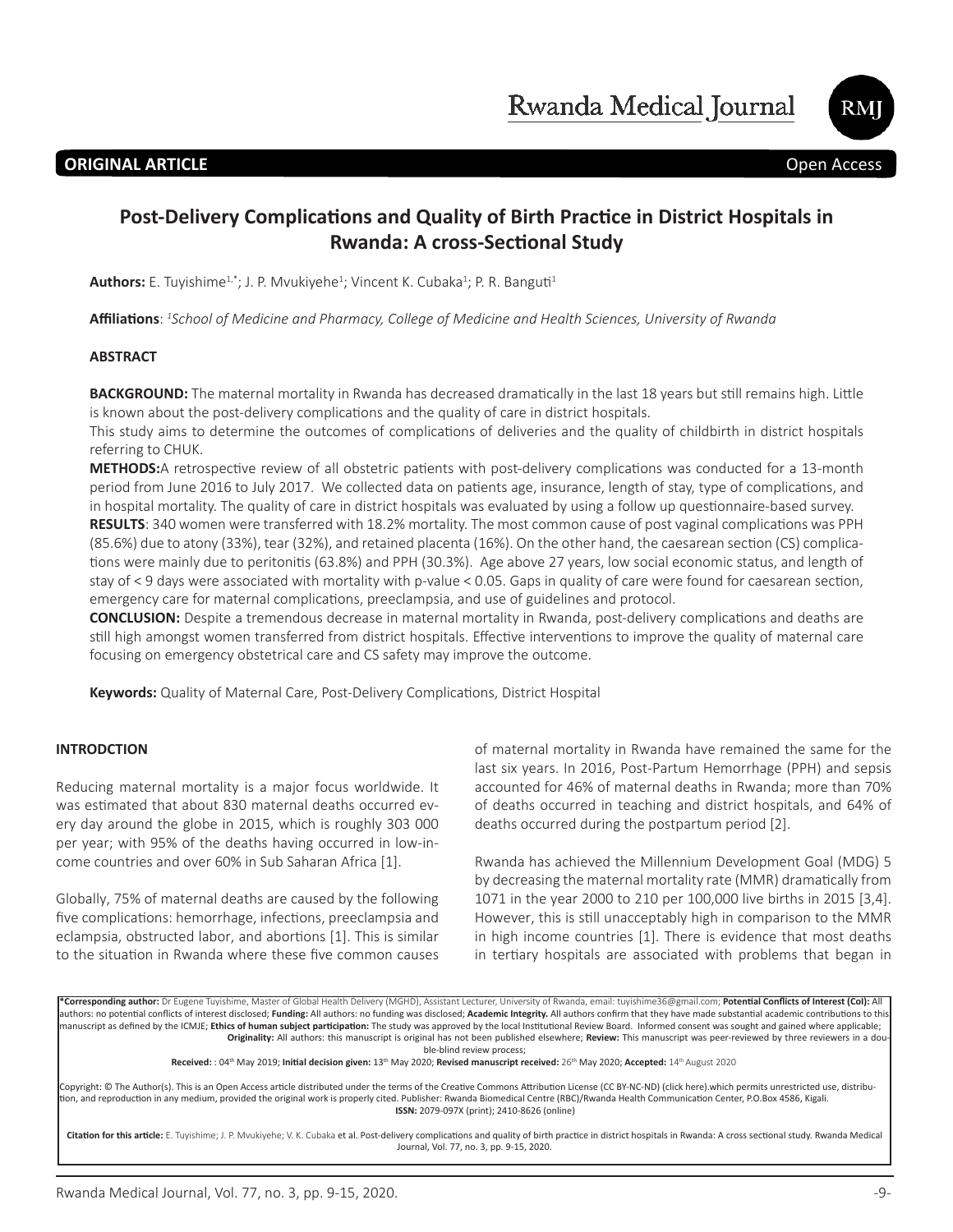

# **ORIGINAL ARTICLE Open Access**

# **Post-Delivery Complications and Quality of Birth Practice in District Hospitals in Rwanda: A cross-Sectional Study**

Authors: E. Tuyishime<sup>1,\*</sup>; J. P. Mvukiyehe<sup>1</sup>; Vincent K. Cubaka<sup>1</sup>; P. R. Banguti<sup>1</sup>

**Affiliations**: *<sup>1</sup> School of Medicine and Pharmacy, College of Medicine and Health Sciences, University of Rwanda*

### **ABSTRACT**

**BACKGROUND:** The maternal mortality in Rwanda has decreased dramatically in the last 18 years but still remains high. Little is known about the post-delivery complications and the quality of care in district hospitals.

This study aims to determine the outcomes of complications of deliveries and the quality of childbirth in district hospitals referring to CHUK.

**METHODS:**A retrospective review of all obstetric patients with post-delivery complications was conducted for a 13-month period from June 2016 to July 2017. We collected data on patients age, insurance, length of stay, type of complications, and in hospital mortality. The quality of care in district hospitals was evaluated by using a follow up questionnaire-based survey. **RESULTS**: 340 women were transferred with 18.2% mortality. The most common cause of post vaginal complications was PPH (85.6%) due to atony (33%), tear (32%), and retained placenta (16%). On the other hand, the caesarean section (CS) complications were mainly due to peritonitis (63.8%) and PPH (30.3%). Age above 27 years, low social economic status, and length of stay of < 9 days were associated with mortality with p-value < 0.05. Gaps in quality of care were found for caesarean section, emergency care for maternal complications, preeclampsia, and use of guidelines and protocol.

**CONCLUSION:** Despite a tremendous decrease in maternal mortality in Rwanda, post-delivery complications and deaths are still high amongst women transferred from district hospitals. Effective interventions to improve the quality of maternal care focusing on emergency obstetrical care and CS safety may improve the outcome.

**Keywords:** Quality of Maternal Care, Post-Delivery Complications, District Hospital

### **INTRODCTION**

Reducing maternal mortality is a major focus worldwide. It was estimated that about 830 maternal deaths occurred every day around the globe in 2015, which is roughly 303 000 per year; with 95% of the deaths having occurred in low-income countries and over 60% in Sub Saharan Africa [1].

Globally, 75% of maternal deaths are caused by the following five complications: hemorrhage, infections, preeclampsia and eclampsia, obstructed labor, and abortions [1]. This is similar to the situation in Rwanda where these five common causes of maternal mortality in Rwanda have remained the same for the last six years. In 2016, Post-Partum Hemorrhage (PPH) and sepsis accounted for 46% of maternal deaths in Rwanda; more than 70% of deaths occurred in teaching and district hospitals, and 64% of deaths occurred during the postpartum period [2].

Rwanda has achieved the Millennium Development Goal (MDG) 5 by decreasing the maternal mortality rate (MMR) dramatically from 1071 in the year 2000 to 210 per 100,000 live births in 2015 [3,4]. However, this is still unacceptably high in comparison to the MMR in high income countries [1]. There is evidence that most deaths in tertiary hospitals are associated with problems that began in

**\*Corresponding author:** Dr Eugene Tuyishime, Master of Global Health Delivery (MGHD), Assistant Lecturer, University of Rwanda, email: tuyishime36@gmail.com; **Potential Conflicts of Interest (CoI):** All authors: no potential conflicts of interest disclosed; **Funding:** All authors: no funding was disclosed; **Academic Integrity.** All authors confirm that they have made substantial academic contributions to this manuscript as defined by the ICMJE; **Ethics of human subject participation:** The study was approved by the local Institutional Review Board. Informed consent was sought and gained where applicable; **Originality:** All authors: this manuscript is original has not been published elsewhere; **Review:** This manuscript was peer-reviewed by three reviewers in a double-blind review process;

**Received:** : 04th May 2019; **Initial decision given:** 13th May 2020; **Revised manuscript received:** 26th May 2020; **Accepted:** 14th August 2020

Copyright: © The Author(s). This is an Open Access article distributed under the terms of the Creative Commons Attribution License (CC BY-NC-ND) (click here).which permits unrestricted use, distribution, and reproduction in any medium, provided the original work is properly cited. Publisher: Rwanda Biomedical Centre (RBC)/Rwanda Health Communication Center, P.O.Box 4586, Kigali. **ISSN:** 2079-097X (print); 2410-8626 (online)

**Citation for this article:** E. Tuyishime; J. P. Mvukiyehe; V. K. Cubaka et al. Post-delivery complications and quality of birth practice in district hospitals in Rwanda: A cross sectional study. Rwanda Medical Journal, Vol. 77, no. 3, pp. 9-15, 2020.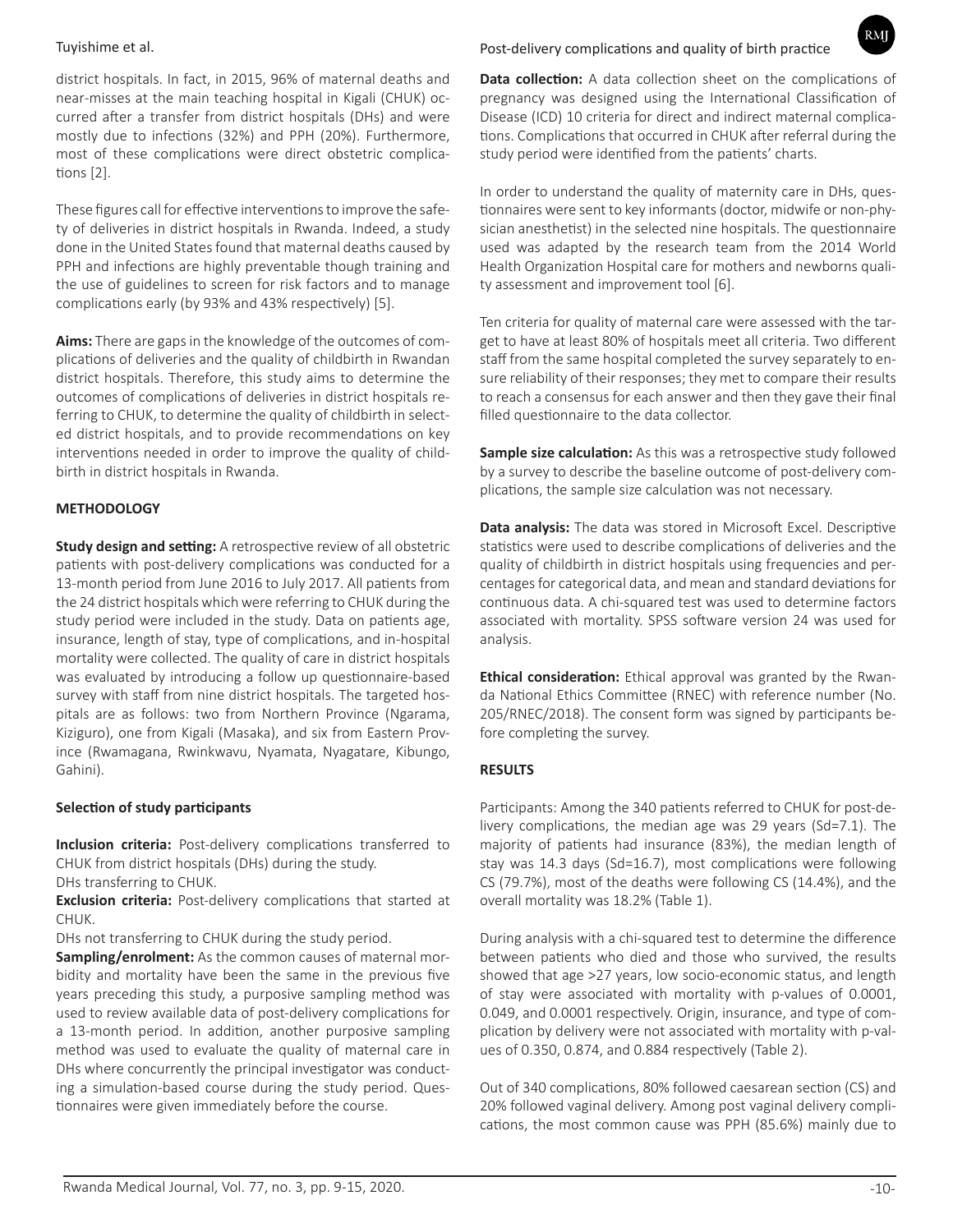district hospitals. In fact, in 2015, 96% of maternal deaths and near-misses at the main teaching hospital in Kigali (CHUK) occurred after a transfer from district hospitals (DHs) and were mostly due to infections (32%) and PPH (20%). Furthermore, most of these complications were direct obstetric complications [2].

These figures call for effective interventions to improve the safety of deliveries in district hospitals in Rwanda. Indeed, a study done in the United States found that maternal deaths caused by PPH and infections are highly preventable though training and the use of guidelines to screen for risk factors and to manage complications early (by 93% and 43% respectively) [5].

**Aims:** There are gaps in the knowledge of the outcomes of complications of deliveries and the quality of childbirth in Rwandan district hospitals. Therefore, this study aims to determine the outcomes of complications of deliveries in district hospitals referring to CHUK, to determine the quality of childbirth in selected district hospitals, and to provide recommendations on key interventions needed in order to improve the quality of childbirth in district hospitals in Rwanda.

## **METHODOLOGY**

**Study design and setting:** A retrospective review of all obstetric patients with post-delivery complications was conducted for a 13-month period from June 2016 to July 2017. All patients from the 24 district hospitals which were referring to CHUK during the study period were included in the study. Data on patients age, insurance, length of stay, type of complications, and in-hospital mortality were collected. The quality of care in district hospitals was evaluated by introducing a follow up questionnaire-based survey with staff from nine district hospitals. The targeted hospitals are as follows: two from Northern Province (Ngarama, Kiziguro), one from Kigali (Masaka), and six from Eastern Province (Rwamagana, Rwinkwavu, Nyamata, Nyagatare, Kibungo, Gahini).

## **Selection of study participants**

**Inclusion criteria:** Post-delivery complications transferred to CHUK from district hospitals (DHs) during the study.

DHs transferring to CHUK.

**Exclusion criteria:** Post-delivery complications that started at CHUK.

DHs not transferring to CHUK during the study period.

**Sampling/enrolment:** As the common causes of maternal morbidity and mortality have been the same in the previous five years preceding this study, a purposive sampling method was used to review available data of post-delivery complications for a 13-month period. In addition, another purposive sampling method was used to evaluate the quality of maternal care in DHs where concurrently the principal investigator was conducting a simulation-based course during the study period. Questionnaires were given immediately before the course.

# Tuyishime et al. Post-delivery complications and quality of birth practice

**Data collection:** A data collection sheet on the complications of pregnancy was designed using the International Classification of Disease (ICD) 10 criteria for direct and indirect maternal complications. Complications that occurred in CHUK after referral during the study period were identified from the patients' charts.

In order to understand the quality of maternity care in DHs, questionnaires were sent to key informants (doctor, midwife or non-physician anesthetist) in the selected nine hospitals. The questionnaire used was adapted by the research team from the 2014 World Health Organization Hospital care for mothers and newborns quality assessment and improvement tool [6].

Ten criteria for quality of maternal care were assessed with the target to have at least 80% of hospitals meet all criteria. Two different staff from the same hospital completed the survey separately to ensure reliability of their responses; they met to compare their results to reach a consensus for each answer and then they gave their final filled questionnaire to the data collector.

**Sample size calculation:** As this was a retrospective study followed by a survey to describe the baseline outcome of post-delivery complications, the sample size calculation was not necessary.

**Data analysis:** The data was stored in Microsoft Excel. Descriptive statistics were used to describe complications of deliveries and the quality of childbirth in district hospitals using frequencies and percentages for categorical data, and mean and standard deviations for continuous data. A chi-squared test was used to determine factors associated with mortality. SPSS software version 24 was used for analysis.

**Ethical consideration:** Ethical approval was granted by the Rwanda National Ethics Committee (RNEC) with reference number (No. 205/RNEC/2018). The consent form was signed by participants before completing the survey.

# **RESULTS**

Participants: Among the 340 patients referred to CHUK for post-delivery complications, the median age was 29 years (Sd=7.1). The majority of patients had insurance (83%), the median length of stay was 14.3 days (Sd=16.7), most complications were following CS (79.7%), most of the deaths were following CS (14.4%), and the overall mortality was 18.2% (Table 1).

During analysis with a chi-squared test to determine the difference between patients who died and those who survived, the results showed that age >27 years, low socio-economic status, and length of stay were associated with mortality with p-values of 0.0001, 0.049, and 0.0001 respectively. Origin, insurance, and type of complication by delivery were not associated with mortality with p-values of 0.350, 0.874, and 0.884 respectively (Table 2).

Out of 340 complications, 80% followed caesarean section (CS) and 20% followed vaginal delivery. Among post vaginal delivery complications, the most common cause was PPH (85.6%) mainly due to

RMI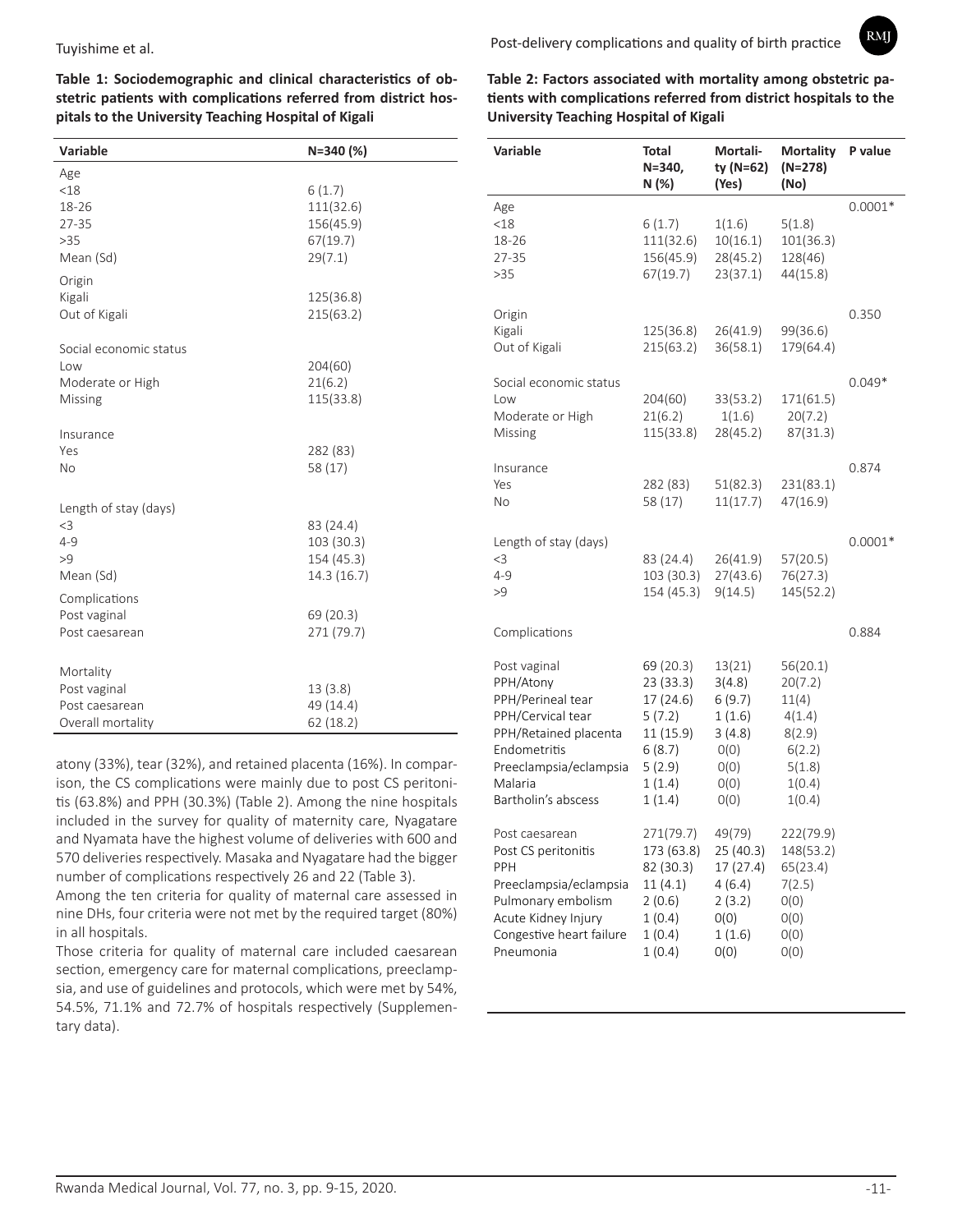Post-delivery complications and quality of birth practice

**RMI** 

**Table 1: Sociodemographic and clinical characteristics of obstetric patients with complications referred from district hospitals to the University Teaching Hospital of Kigali**

| <b>Variable</b>                                                  | N=340 (%)                                               |
|------------------------------------------------------------------|---------------------------------------------------------|
| Age<br>< 18<br>18-26<br>27-35<br>>35<br>Mean (Sd)                | 6(1.7)<br>111(32.6)<br>156(45.9)<br>67(19.7)<br>29(7.1) |
| Origin<br>Kigali<br>Out of Kigali                                | 125(36.8)<br>215(63.2)                                  |
| Social economic status<br>Low<br>Moderate or High<br>Missing     | 204(60)<br>21(6.2)<br>115(33.8)                         |
| Insurance<br>Yes<br><b>No</b>                                    | 282 (83)<br>58 (17)                                     |
| Length of stay (days)<br>$<$ 3<br>$4 - 9$<br>>9<br>Mean (Sd)     | 83 (24.4)<br>103 (30.3)<br>154 (45.3)<br>14.3(16.7)     |
| Complications<br>Post vaginal<br>Post caesarean                  | 69 (20.3)<br>271 (79.7)                                 |
| Mortality<br>Post vaginal<br>Post caesarean<br>Overall mortality | 13(3.8)<br>49 (14.4)<br>62(18.2)                        |

atony (33%), tear (32%), and retained placenta (16%). In comparison, the CS complications were mainly due to post CS peritonitis (63.8%) and PPH (30.3%) (Table 2). Among the nine hospitals included in the survey for quality of maternity care, Nyagatare and Nyamata have the highest volume of deliveries with 600 and 570 deliveries respectively. Masaka and Nyagatare had the bigger number of complications respectively 26 and 22 (Table 3).

Among the ten criteria for quality of maternal care assessed in nine DHs, four criteria were not met by the required target (80%) in all hospitals.

Those criteria for quality of maternal care included caesarean section, emergency care for maternal complications, preeclampsia, and use of guidelines and protocols, which were met by 54%, 54.5%, 71.1% and 72.7% of hospitals respectively (Supplementary data).

**Table 2: Factors associated with mortality among obstetric patients with complications referred from district hospitals to the University Teaching Hospital of Kigali**

| <b>Variable</b>                                                                                                                                                          | Total<br>$N = 340,$<br>N (%)                                                                       | Mortali-<br>ty (N=62)<br>(Yes)                                                 | <b>Mortality</b><br>$(N=278)$<br>(No)                                                    | P value   |
|--------------------------------------------------------------------------------------------------------------------------------------------------------------------------|----------------------------------------------------------------------------------------------------|--------------------------------------------------------------------------------|------------------------------------------------------------------------------------------|-----------|
| Age<br>$<$ 18<br>18-26<br>27-35<br>>35                                                                                                                                   | 6(1.7)<br>111(32.6)<br>156(45.9)<br>67(19.7)                                                       | 1(1.6)<br>10(16.1)<br>28(45.2)<br>23(37.1)                                     | 5(1.8)<br>101(36.3)<br>128(46)<br>44(15.8)                                               | $0.0001*$ |
| Origin<br>Kigali<br>Out of Kigali                                                                                                                                        | 125(36.8)<br>215(63.2)                                                                             | 26(41.9)<br>36(58.1)                                                           | 99(36.6)<br>179(64.4)                                                                    | 0.350     |
| Social economic status<br>Low<br>Moderate or High<br>Missing                                                                                                             | 204(60)<br>21(6.2)<br>115(33.8)                                                                    | 33(53.2)<br>1(1.6)<br>28(45.2)                                                 | 171(61.5)<br>20(7.2)<br>87(31.3)                                                         | $0.049*$  |
| Insurance<br>Yes<br>No                                                                                                                                                   | 282 (83)<br>58 (17)                                                                                | 51(82.3)<br>11(17.7)                                                           | 231(83.1)<br>47(16.9)                                                                    | 0.874     |
| Length of stay (days)<br>$<$ 3<br>$4 - 9$<br>>9                                                                                                                          | 83 (24.4)<br>103 (30.3)<br>154 (45.3)                                                              | 26(41.9)<br>27(43.6)<br>9(14.5)                                                | 57(20.5)<br>76(27.3)<br>145(52.2)                                                        | $0.0001*$ |
| Complications                                                                                                                                                            |                                                                                                    |                                                                                |                                                                                          | 0.884     |
| Post vaginal<br>PPH/Atony<br>PPH/Perineal tear<br>PPH/Cervical tear<br>PPH/Retained placenta<br>Endometritis<br>Preeclampsia/eclampsia<br>Malaria<br>Bartholin's abscess | 69 (20.3)<br>23 (33.3)<br>17 (24.6)<br>5(7.2)<br>11 (15.9)<br>6(8.7)<br>5(2.9)<br>1(1.4)<br>1(1.4) | 13(21)<br>3(4.8)<br>6(9.7)<br>1(1.6)<br>3(4.8)<br>O(0)<br>O(0)<br>O(0)<br>O(0) | 56(20.1)<br>20(7.2)<br>11(4)<br>4(1.4)<br>8(2.9)<br>6(2.2)<br>5(1.8)<br>1(0.4)<br>1(0.4) |           |
| Post caesarean<br>Post CS peritonitis<br>PPH<br>Preeclampsia/eclampsia<br>Pulmonary embolism<br>Acute Kidney Injury<br>Congestive heart failure<br>Pneumonia             | 271(79.7)<br>173 (63.8)<br>82 (30.3)<br>11(4.1)<br>2(0.6)<br>1(0.4)<br>1(0.4)<br>1(0.4)            | 49(79)<br>25 (40.3)<br>17(27.4)<br>4(6.4)<br>2(3.2)<br>O(0)<br>1(1.6)<br>O(0)  | 222(79.9)<br>148(53.2)<br>65(23.4)<br>7(2.5)<br>O(0)<br>O(0)<br>O(0)<br>O(0)             |           |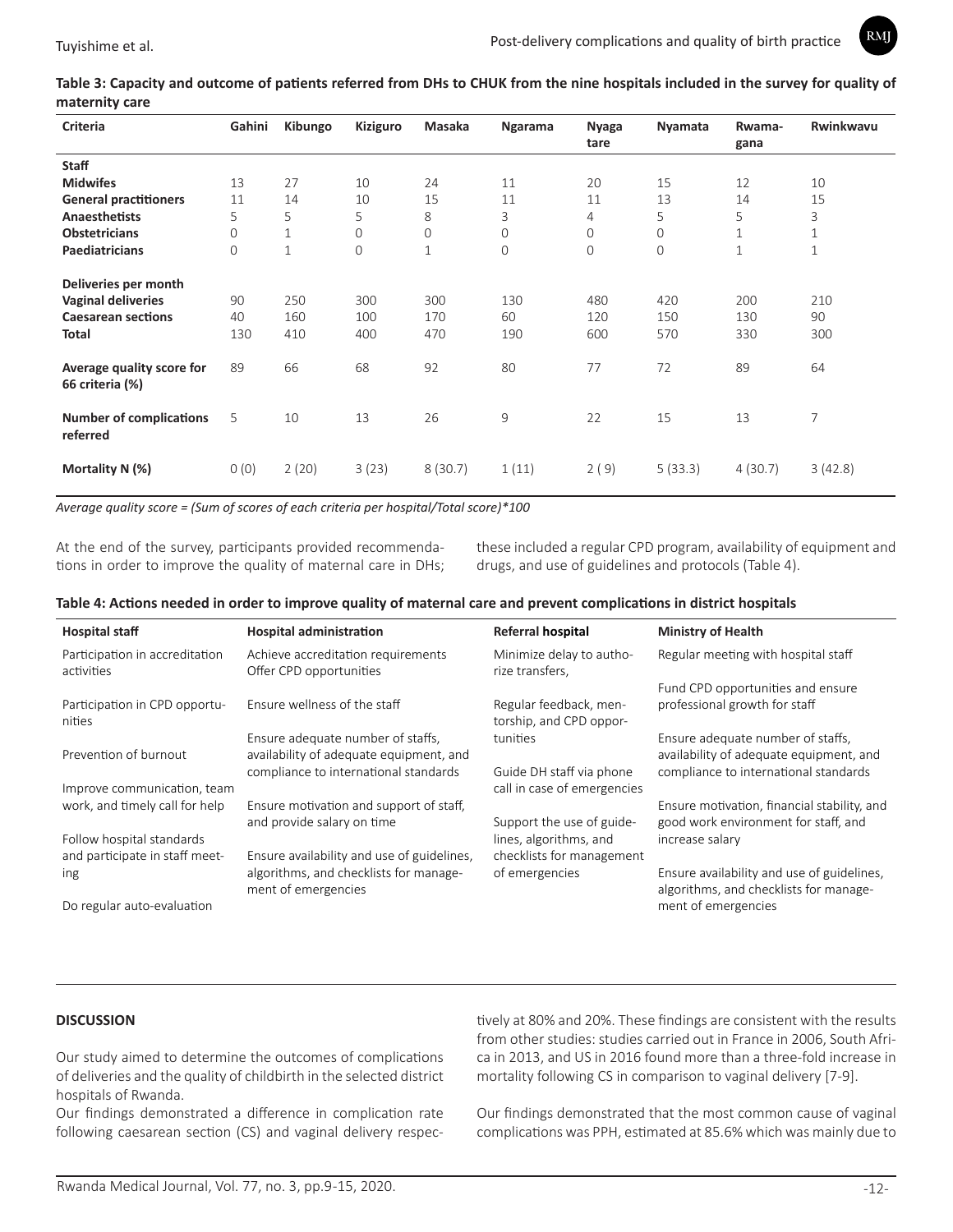

**Table 3: Capacity and outcome of patients referred from DHs to CHUK from the nine hospitals included in the survey for quality of maternity care**

| Criteria                                     | Gahini         | Kibungo      | Kiziguro       | Masaka       | Ngarama | <b>Nyaga</b><br>tare | Nyamata        | Rwama-<br>gana | Rwinkwavu |
|----------------------------------------------|----------------|--------------|----------------|--------------|---------|----------------------|----------------|----------------|-----------|
| <b>Staff</b>                                 |                |              |                |              |         |                      |                |                |           |
| <b>Midwifes</b>                              | 13             | 27           | 10             | 24           | 11      | 20                   | 15             | 12             | 10        |
| <b>General practitioners</b>                 | 11             | 14           | 10             | 15           | 11      | 11                   | 13             | 14             | 15        |
| <b>Anaesthetists</b>                         | 5              | 5            | 5              | 8            | 3       | 4                    | 5              | 5              | 3         |
| <b>Obstetricians</b>                         | $\mathbf 0$    | $\mathbf{1}$ | $\mathbf{0}$   | 0            | 0       | $\mathbf 0$          | $\mathbf 0$    | 1              | 1         |
| Paediatricians                               | $\overline{0}$ | $\mathbf{1}$ | $\overline{0}$ | $\mathbf{1}$ | 0       | $\overline{0}$       | $\overline{0}$ | 1              | 1         |
| Deliveries per month                         |                |              |                |              |         |                      |                |                |           |
| <b>Vaginal deliveries</b>                    | 90             | 250          | 300            | 300          | 130     | 480                  | 420            | 200            | 210       |
| <b>Caesarean sections</b>                    | 40             | 160          | 100            | 170          | 60      | 120                  | 150            | 130            | 90        |
| <b>Total</b>                                 | 130            | 410          | 400            | 470          | 190     | 600                  | 570            | 330            | 300       |
| Average quality score for<br>66 criteria (%) | 89             | 66           | 68             | 92           | 80      | 77                   | 72             | 89             | 64        |
| <b>Number of complications</b><br>referred   | 5              | 10           | 13             | 26           | 9       | 22                   | 15             | 13             | 7         |
| Mortality N (%)                              | 0(0)           | 2(20)        | 3(23)          | 8(30.7)      | 1(11)   | 2(9)                 | 5(33.3)        | 4(30.7)        | 3(42.8)   |

*Average quality score = (Sum of scores of each criteria per hospital/Total score)\*100*

At the end of the survey, participants provided recommendations in order to improve the quality of maternal care in DHs; these included a regular CPD program, availability of equipment and drugs, and use of guidelines and protocols (Table 4).

### **Table 4: Actions needed in order to improve quality of maternal care and prevent complications in district hospitals**

| <b>Hospital staff</b>                        | <b>Hospital administration</b>                                | <b>Referral hospital</b>                          | <b>Ministry of Health</b>                                                            |
|----------------------------------------------|---------------------------------------------------------------|---------------------------------------------------|--------------------------------------------------------------------------------------|
| Participation in accreditation<br>activities | Achieve accreditation requirements<br>Offer CPD opportunities | Minimize delay to autho-<br>rize transfers,       | Regular meeting with hospital staff                                                  |
|                                              |                                                               |                                                   | Fund CPD opportunities and ensure                                                    |
| Participation in CPD opportu-<br>nities      | Ensure wellness of the staff                                  | Regular feedback, men-<br>torship, and CPD oppor- | professional growth for staff                                                        |
|                                              | Ensure adequate number of staffs,                             | tunities                                          | Ensure adequate number of staffs,                                                    |
| Prevention of burnout                        | availability of adequate equipment, and                       |                                                   | availability of adequate equipment, and                                              |
|                                              | compliance to international standards                         | Guide DH staff via phone                          | compliance to international standards                                                |
| Improve communication, team                  |                                                               | call in case of emergencies                       |                                                                                      |
| work, and timely call for help               | Ensure motivation and support of staff.                       |                                                   | Ensure motivation, financial stability, and                                          |
|                                              | and provide salary on time                                    | Support the use of guide-                         | good work environment for staff, and                                                 |
| Follow hospital standards                    |                                                               | lines, algorithms, and                            | increase salary                                                                      |
| and participate in staff meet-               | Ensure availability and use of guidelines,                    | checklists for management                         |                                                                                      |
| ing                                          | algorithms, and checklists for manage-<br>ment of emergencies | of emergencies                                    | Ensure availability and use of guidelines,<br>algorithms, and checklists for manage- |
| Do regular auto-evaluation                   |                                                               |                                                   | ment of emergencies                                                                  |

### **DISCUSSION**

Our study aimed to determine the outcomes of complications of deliveries and the quality of childbirth in the selected district hospitals of Rwanda.

Our findings demonstrated a difference in complication rate following caesarean section (CS) and vaginal delivery respectively at 80% and 20%. These findings are consistent with the results from other studies: studies carried out in France in 2006, South Africa in 2013, and US in 2016 found more than a three-fold increase in mortality following CS in comparison to vaginal delivery [7-9].

Our findings demonstrated that the most common cause of vaginal complications was PPH, estimated at 85.6% which was mainly due to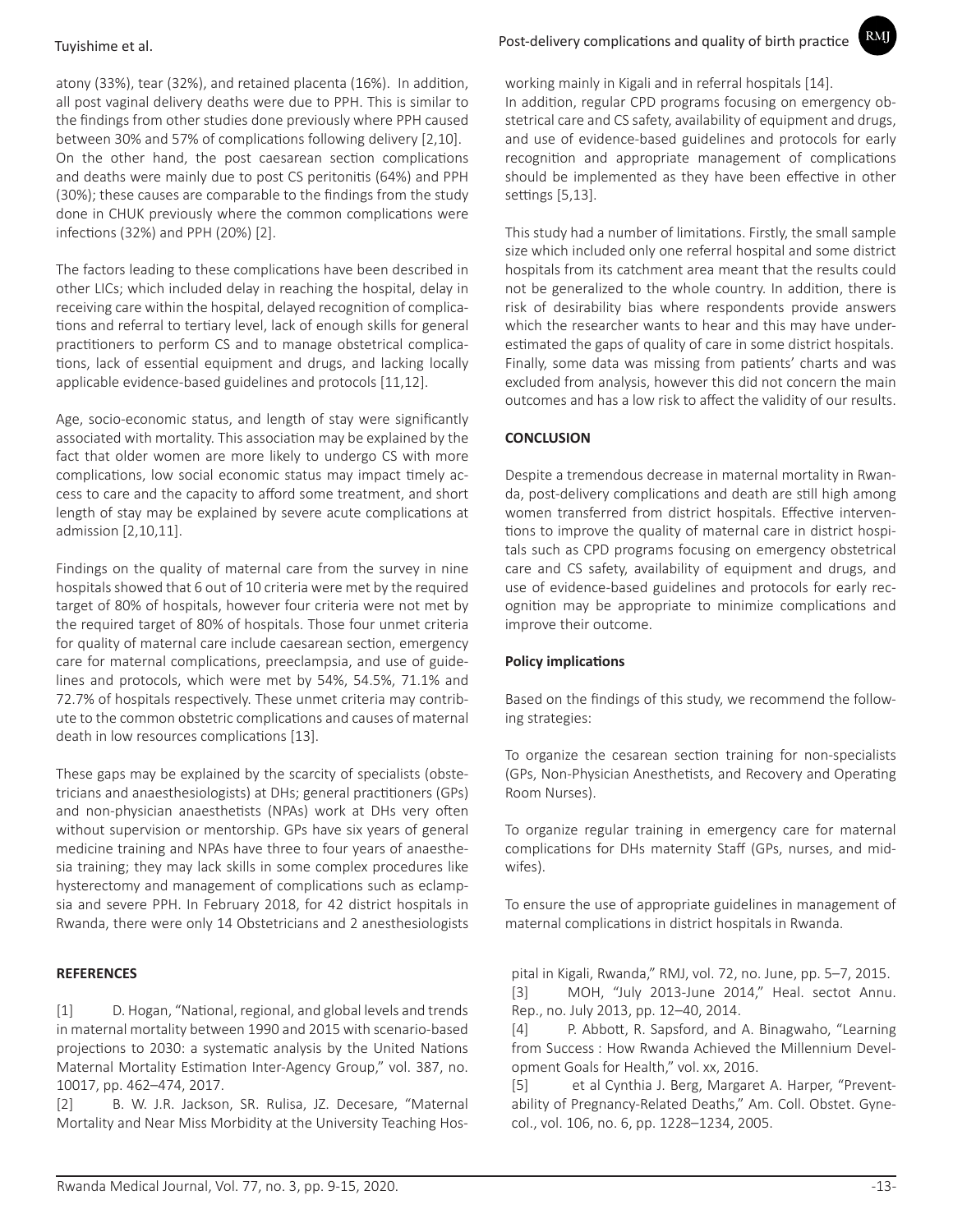atony (33%), tear (32%), and retained placenta (16%). In addition, all post vaginal delivery deaths were due to PPH. This is similar to the findings from other studies done previously where PPH caused between 30% and 57% of complications following delivery [2,10]. On the other hand, the post caesarean section complications and deaths were mainly due to post CS peritonitis (64%) and PPH (30%); these causes are comparable to the findings from the study done in CHUK previously where the common complications were infections (32%) and PPH (20%) [2].

The factors leading to these complications have been described in other LICs; which included delay in reaching the hospital, delay in receiving care within the hospital, delayed recognition of complications and referral to tertiary level, lack of enough skills for general practitioners to perform CS and to manage obstetrical complications, lack of essential equipment and drugs, and lacking locally applicable evidence-based guidelines and protocols [11,12].

Age, socio-economic status, and length of stay were significantly associated with mortality. This association may be explained by the fact that older women are more likely to undergo CS with more complications, low social economic status may impact timely access to care and the capacity to afford some treatment, and short length of stay may be explained by severe acute complications at admission [2,10,11].

Findings on the quality of maternal care from the survey in nine hospitals showed that 6 out of 10 criteria were met by the required target of 80% of hospitals, however four criteria were not met by the required target of 80% of hospitals. Those four unmet criteria for quality of maternal care include caesarean section, emergency care for maternal complications, preeclampsia, and use of guidelines and protocols, which were met by 54%, 54.5%, 71.1% and 72.7% of hospitals respectively. These unmet criteria may contribute to the common obstetric complications and causes of maternal death in low resources complications [13].

These gaps may be explained by the scarcity of specialists (obstetricians and anaesthesiologists) at DHs; general practitioners (GPs) and non-physician anaesthetists (NPAs) work at DHs very often without supervision or mentorship. GPs have six years of general medicine training and NPAs have three to four years of anaesthesia training; they may lack skills in some complex procedures like hysterectomy and management of complications such as eclampsia and severe PPH. In February 2018, for 42 district hospitals in Rwanda, there were only 14 Obstetricians and 2 anesthesiologists

### **REFERENCES**

[1] D. Hogan, "National, regional, and global levels and trends in maternal mortality between 1990 and 2015 with scenario-based projections to 2030: a systematic analysis by the United Nations Maternal Mortality Estimation Inter-Agency Group," vol. 387, no. 10017, pp. 462–474, 2017.

[2] B. W. J.R. Jackson, SR. Rulisa, JZ. Decesare, "Maternal Mortality and Near Miss Morbidity at the University Teaching Hosworking mainly in Kigali and in referral hospitals [14].

In addition, regular CPD programs focusing on emergency obstetrical care and CS safety, availability of equipment and drugs, and use of evidence-based guidelines and protocols for early recognition and appropriate management of complications should be implemented as they have been effective in other settings [5,13].

RMJ

This study had a number of limitations. Firstly, the small sample size which included only one referral hospital and some district hospitals from its catchment area meant that the results could not be generalized to the whole country. In addition, there is risk of desirability bias where respondents provide answers which the researcher wants to hear and this may have underestimated the gaps of quality of care in some district hospitals. Finally, some data was missing from patients' charts and was excluded from analysis, however this did not concern the main outcomes and has a low risk to affect the validity of our results.

# **CONCLUSION**

Despite a tremendous decrease in maternal mortality in Rwanda, post-delivery complications and death are still high among women transferred from district hospitals. Effective interventions to improve the quality of maternal care in district hospitals such as CPD programs focusing on emergency obstetrical care and CS safety, availability of equipment and drugs, and use of evidence-based guidelines and protocols for early recognition may be appropriate to minimize complications and improve their outcome.

## **Policy implications**

Based on the findings of this study, we recommend the following strategies:

To organize the cesarean section training for non-specialists (GPs, Non-Physician Anesthetists, and Recovery and Operating Room Nurses).

To organize regular training in emergency care for maternal complications for DHs maternity Staff (GPs, nurses, and midwifes).

To ensure the use of appropriate guidelines in management of maternal complications in district hospitals in Rwanda.

pital in Kigali, Rwanda," RMJ, vol. 72, no. June, pp. 5–7, 2015. [3] MOH, "July 2013-June 2014," Heal. sectot Annu. Rep., no. July 2013, pp. 12–40, 2014.

[4] P. Abbott, R. Sapsford, and A. Binagwaho, "Learning from Success : How Rwanda Achieved the Millennium Development Goals for Health," vol. xx, 2016.

[5] et al Cynthia J. Berg, Margaret A. Harper, "Preventability of Pregnancy-Related Deaths," Am. Coll. Obstet. Gynecol., vol. 106, no. 6, pp. 1228–1234, 2005.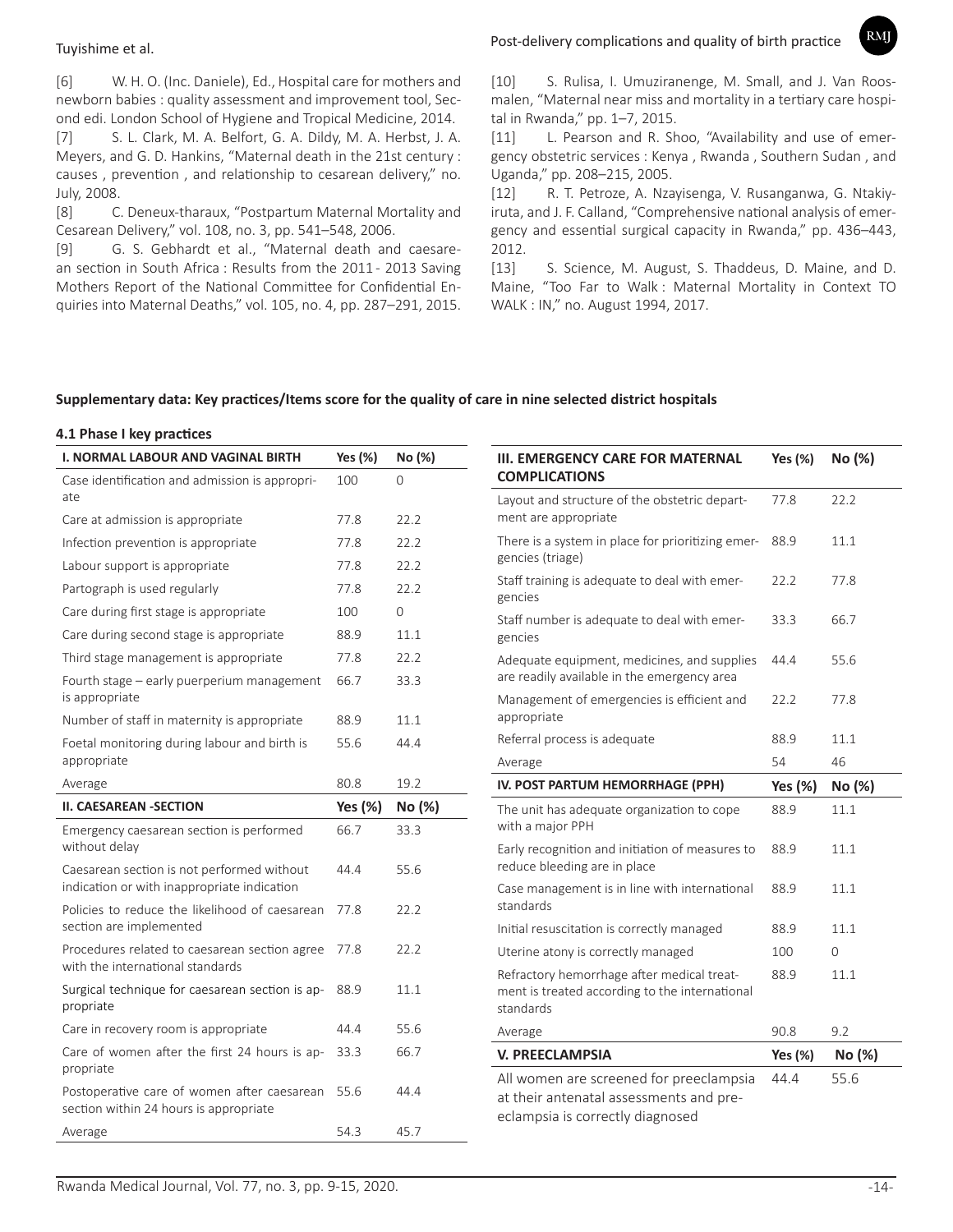[6] W. H. O. (Inc. Daniele), Ed., Hospital care for mothers and newborn babies : quality assessment and improvement tool, Second edi. London School of Hygiene and Tropical Medicine, 2014.

[7] S. L. Clark, M. A. Belfort, G. A. Dildy, M. A. Herbst, J. A. Meyers, and G. D. Hankins, "Maternal death in the 21st century : causes , prevention , and relationship to cesarean delivery," no. July, 2008.

[8] C. Deneux-tharaux, "Postpartum Maternal Mortality and Cesarean Delivery," vol. 108, no. 3, pp. 541–548, 2006.

[9] G. S. Gebhardt et al., "Maternal death and caesarean section in South Africa : Results from the 2011 - 2013 Saving Mothers Report of the National Committee for Confidential Enquiries into Maternal Deaths," vol. 105, no. 4, pp. 287–291, 2015.

# Post-delivery complications and quality of birth practice Tuyishime et al.

**RMI** 

[10] S. Rulisa, I. Umuziranenge, M. Small, and J. Van Roosmalen, "Maternal near miss and mortality in a tertiary care hospital in Rwanda," pp. 1–7, 2015.

[11] L. Pearson and R. Shoo, "Availability and use of emergency obstetric services : Kenya , Rwanda , Southern Sudan , and Uganda," pp. 208–215, 2005.

[12] R. T. Petroze, A. Nzayisenga, V. Rusanganwa, G. Ntakiyiruta, and J. F. Calland, "Comprehensive national analysis of emergency and essential surgical capacity in Rwanda," pp. 436–443, 2012.

[13] S. Science, M. August, S. Thaddeus, D. Maine, and D. Maine, "Too Far to Walk : Maternal Mortality in Context TO WALK : IN," no. August 1994, 2017.

### **Supplementary data: Key practices/Items score for the quality of care in nine selected district hospitals**

### **4.1 Phase I key practices**

| 22.2         |
|--------------|
|              |
| 11.1         |
|              |
| 77.8         |
| 66.7         |
|              |
| 55.6         |
|              |
| 77.8         |
|              |
| 11.1         |
| 46           |
| No (%)       |
| 11.1         |
|              |
| 11.1         |
| 11.1         |
|              |
| 11.1         |
| $\mathbf{O}$ |
| 11.1         |
|              |
| 9.2          |
| No (%)       |
| 55.6         |
|              |
| Yes $(\%)$   |